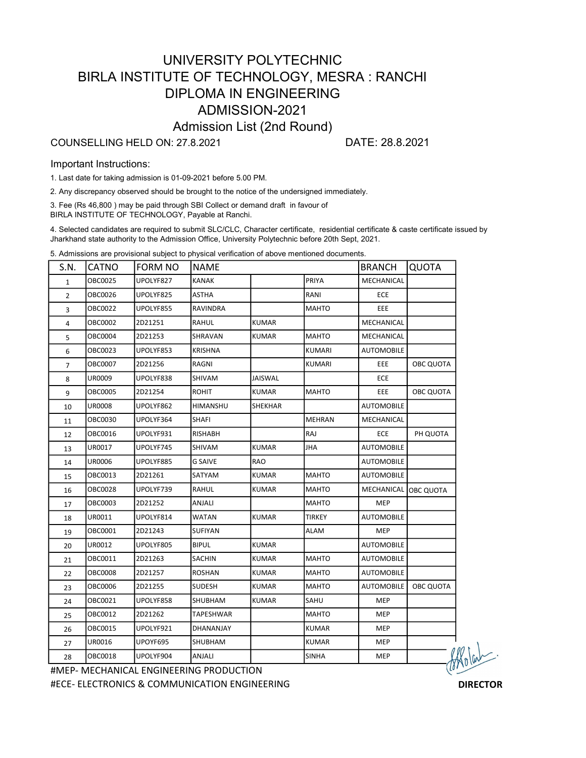## UNIVERSITY POLYTECHNIC BIRLA INSTITUTE OF TECHNOLOGY, MESRA : RANCHI DIPLOMA IN ENGINEERING ADMISSION-2021 Admission List (2nd Round)

#### COUNSELLING HELD ON: 27.8.2021 DATE: 28.8.2021

#### Important Instructions:

1. Last date for taking admission is 01-09-2021 before 5.00 PM.

2. Any discrepancy observed should be brought to the notice of the undersigned immediately.

3. Fee (Rs 46,800 ) may be paid through SBI Collect or demand draft in favour of BIRLA INSTITUTE OF TECHNOLOGY, Payable at Ranchi.

4. Selected candidates are required to submit SLC/CLC, Character certificate, residential certificate & caste certificate issued by Jharkhand state authority to the Admission Office, University Polytechnic before 20th Sept, 2021.

5. Admissions are provisional subject to physical verification of above mentioned documents.

| S.N.           | <b>CATNO</b> | <b>FORM NO</b> | <b>NAME</b>  |              |               | <b>BRANCH</b>     | <b>QUOTA</b>      |
|----------------|--------------|----------------|--------------|--------------|---------------|-------------------|-------------------|
| 1              | OBC0025      | UPOLYF827      | <b>KANAK</b> |              | PRIYA         | MECHANICAL        |                   |
| $\overline{2}$ | OBC0026      | UPOLYF825      | ASTHA        |              | RANI          | ECE               |                   |
| 3              | OBC0022      | UPOLYF855      | RAVINDRA     |              | MAHTO         | EEE               |                   |
| 4              | OBC0002      | 2D21251        | RAHUL        | KUMAR        |               | MECHANICAL        |                   |
| 5              | OBC0004      | 2D21253        | SHRAVAN      | KUMAR        | <b>MAHTO</b>  | MECHANICAL        |                   |
| 6              | OBC0023      | UPOLYF853      | KRISHNA      |              | KUMARI        | AUTOMOBILE        |                   |
| $\overline{7}$ | OBC0007      | 2D21256        | RAGNI        |              | <b>KUMARI</b> | EEE               | OBC QUOTA         |
| 8              | UR0009       | UPOLYF838      | SHIVAM       | JAISWAL      |               | ECE               |                   |
| 9              | OBC0005      | 2D21254        | <b>ROHIT</b> | <b>KUMAR</b> | <b>MAHTO</b>  | EEE               | OBC QUOTA         |
| 10             | UR0008       | UPOLYF862      | HIMANSHU     | SHEKHAR      |               | <b>AUTOMOBILE</b> |                   |
| 11             | OBC0030      | UPOLYF364      | SHAFI        |              | <b>MEHRAN</b> | MECHANICAL        |                   |
| 12             | OBC0016      | UPOLYF931      | RISHABH      |              | RAJ           | ECE               | PH QUOTA          |
| 13             | UR0017       | UPOLYF745      | SHIVAM       | <b>KUMAR</b> | JHA           | <b>AUTOMOBILE</b> |                   |
| 14             | UR0006       | UPOLYF885      | G SAIVE      | RAO          |               | <b>AUTOMOBILE</b> |                   |
| 15             | OBC0013      | 2D21261        | SATYAM       | KUMAR        | <b>MAHTO</b>  | <b>AUTOMOBILE</b> |                   |
| 16             | OBC0028      | UPOLYF739      | RAHUL        | KUMAR        | <b>MAHTO</b>  | MECHANICAL        | <b>JOBC QUOTA</b> |
| 17             | OBC0003      | 2D21252        | ANJALI       |              | MAHTO         | <b>MEP</b>        |                   |
| 18             | UR0011       | UPOLYF814      | WATAN        | KUMAR        | <b>TIRKEY</b> | AUTOMOBILE        |                   |
| 19             | OBC0001      | 2D21243        | SUFIYAN      |              | ALAM          | <b>MEP</b>        |                   |
| 20             | UR0012       | UPOLYF805      | BIPUL        | KUMAR        |               | <b>AUTOMOBILE</b> |                   |
| 21             | OBC0011      | 2D21263        | SACHIN       | KUMAR        | <b>MAHTO</b>  | AUTOMOBILE        |                   |
| 22             | OBC0008      | 2D21257        | ROSHAN       | KUMAR        | MAHTO         | <b>AUTOMOBILE</b> |                   |
| 23             | OBC0006      | 2D21255        | SUDESH       | KUMAR        | <b>MAHTO</b>  | <b>AUTOMOBILE</b> | OBC QUOTA         |
| 24             | OBC0021      | UPOLYF858      | SHUBHAM      | KUMAR        | SAHU          | MEP               |                   |
| 25             | OBC0012      | 2D21262        | TAPESHWAR    |              | MAHTO         | MEP               |                   |
| 26             | OBC0015      | UPOLYF921      | DHANANJAY    |              | <b>KUMAR</b>  | <b>MEP</b>        |                   |
| 27             | UR0016       | UPOYF695       | SHUBHAM      |              | <b>KUMAR</b>  | MEP               |                   |
| 28             | OBC0018      | UPOLYF904      | ANJALI       |              | <b>SINHA</b>  | <b>MEP</b>        | U                 |

#MEP- MECHANICAL ENGINEERING PRODUCTION #ECE- ELECTRONICS & COMMUNICATION ENGINEERING DIRECTOR

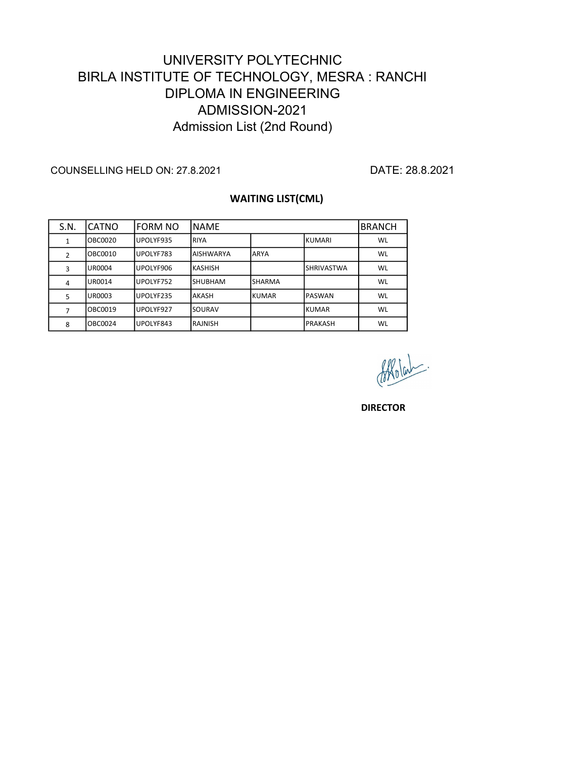# DIPLOMA IN ENGINEERING ADMISSION-2021 Admission List (2nd Round) UNIVERSITY POLYTECHNIC BIRLA INSTITUTE OF TECHNOLOGY, MESRA : RANCHI

COUNSELLING HELD ON: 27.8.2021 DATE: 28.8.2021

### WAITING LIST(CML)

| S.N. | CATNO          | <b>FORM NO</b> | INAMF            |               |                    | <b>BRANCH</b> |
|------|----------------|----------------|------------------|---------------|--------------------|---------------|
| 1    | <b>OBC0020</b> | UPOLYF935      | <b>RIYA</b>      |               | IKUMARI            | WL            |
| 2    | OBC0010        | UPOLYF783      | <b>AISHWARYA</b> | ARYA          |                    | WL            |
| 3    | UR0004         | UPOLYF906      | <b>IKASHISH</b>  |               | <b>ISHRIVASTWA</b> | WL            |
| 4    | UR0014         | UPOLYF752      | <b>ISHUBHAM</b>  | <b>SHARMA</b> |                    | WL            |
| 5    | <b>UR0003</b>  | UPOLYF235      | <b>AKASH</b>     | KUMAR         | IPASWAN            | WL            |
| 7    | OBC0019        | UPOLYF927      | <b>SOURAV</b>    |               | IKUMAR             | WL            |
| 8    | OBC0024        | UPOLYF843      | IRAJNISH         |               | <b>PRAKASH</b>     | WL            |

**DIRECTOR**